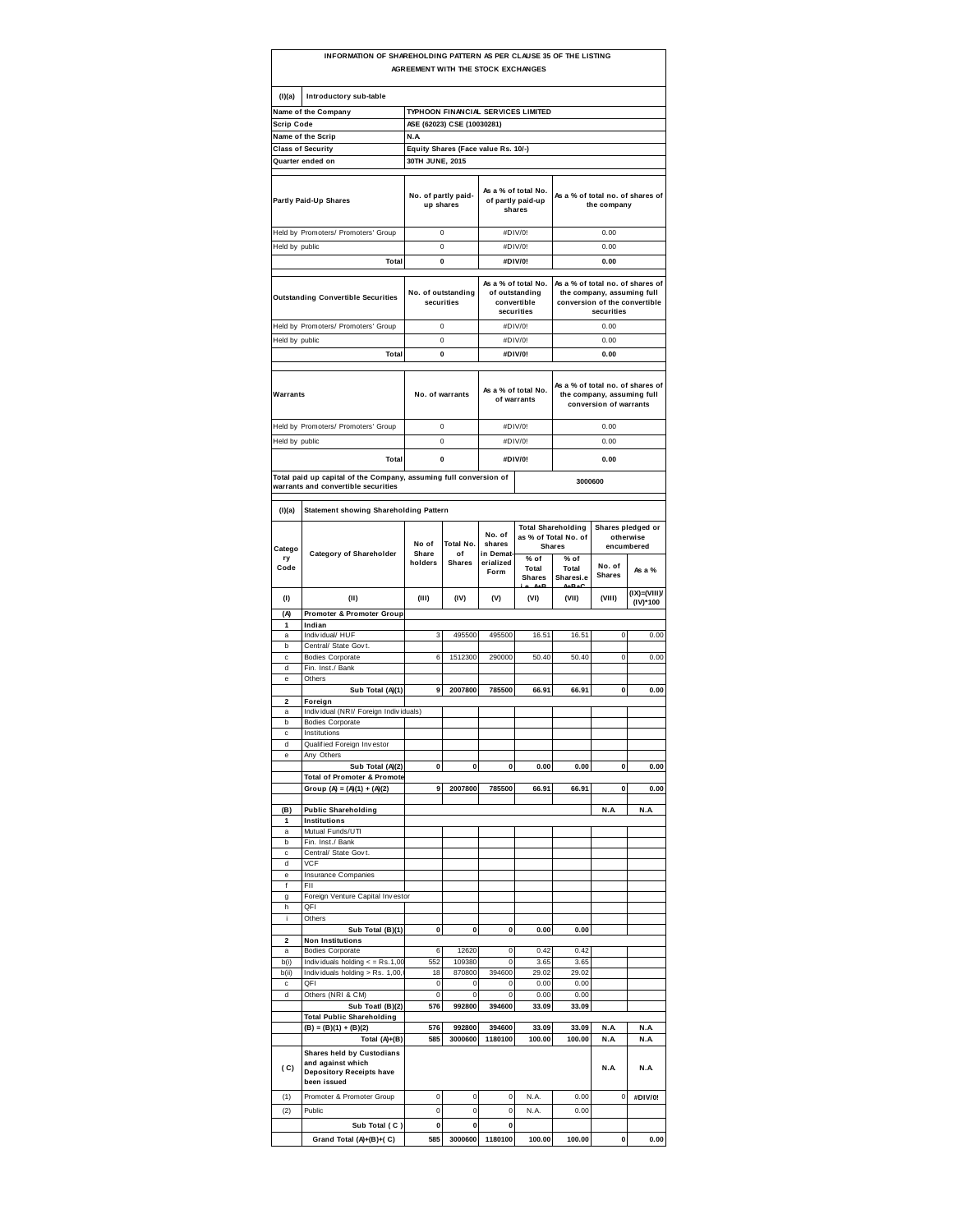|                              | INFORMATION OF SHAREHOLDING PATTERN AS PER CLAUSE 35 OF THE LISTING                                      |                                  | AGREEMENT WITH THE STOCK EXCHANGES  |                              |                                                                    |                                                                    |                                                                           |                                              |
|------------------------------|----------------------------------------------------------------------------------------------------------|----------------------------------|-------------------------------------|------------------------------|--------------------------------------------------------------------|--------------------------------------------------------------------|---------------------------------------------------------------------------|----------------------------------------------|
| (I)(a)                       | Introductory sub-table                                                                                   |                                  |                                     |                              |                                                                    |                                                                    |                                                                           |                                              |
|                              | Name of the Company                                                                                      |                                  | TYPHOON FINANCIAL SERVICES LIMITED  |                              |                                                                    |                                                                    |                                                                           |                                              |
| <b>Scrip Code</b>            |                                                                                                          |                                  | ASE (62023) CSE (10030281)          |                              |                                                                    |                                                                    |                                                                           |                                              |
|                              | Name of the Scrip                                                                                        | N.A                              |                                     |                              |                                                                    |                                                                    |                                                                           |                                              |
|                              | <b>Class of Security</b><br>Quarter ended on                                                             |                                  | Equity Shares (Face value Rs. 10/-) |                              |                                                                    |                                                                    |                                                                           |                                              |
|                              |                                                                                                          | 30TH JUNE, 2015                  |                                     |                              |                                                                    |                                                                    |                                                                           |                                              |
|                              | Partly Paid-Up Shares                                                                                    | No. of partly paid-<br>up shares |                                     |                              | As a % of total No.<br>of partly paid-up<br>shares                 | As a % of total no. of shares of                                   | the company                                                               |                                              |
|                              | Held by Promoters/ Promoters' Group                                                                      |                                  | 0                                   |                              | #DIV/0!                                                            |                                                                    | 0.00                                                                      |                                              |
| Held by public               |                                                                                                          |                                  | 0                                   |                              | #DIV/0!                                                            |                                                                    | 0.00                                                                      |                                              |
|                              | Total                                                                                                    |                                  | 0                                   |                              | #DIV/0!                                                            |                                                                    | 0.00                                                                      |                                              |
|                              | <b>Outstanding Convertible Securities</b>                                                                |                                  | No. of outstanding<br>securities    |                              | As a % of total No.<br>of outstanding<br>convertible<br>securities | As a % of total no. of shares of                                   | the company, assuming full<br>conversion of the convertible<br>securities |                                              |
|                              | Held by Promoters/ Promoters' Group                                                                      |                                  | 0                                   |                              | #DIV/0!                                                            |                                                                    | 0.00                                                                      |                                              |
|                              |                                                                                                          |                                  |                                     |                              | #DIV/0!                                                            |                                                                    | 0.00                                                                      |                                              |
| Held by public               | Total                                                                                                    |                                  | 0<br>0                              |                              | #DIV/0!                                                            |                                                                    | 0.00                                                                      |                                              |
|                              |                                                                                                          |                                  |                                     |                              |                                                                    |                                                                    |                                                                           |                                              |
| Warrants                     |                                                                                                          |                                  | No. of warrants                     |                              | As a % of total No.<br>of warrants                                 | As a % of total no. of shares of                                   | the company, assuming full<br>conversion of warrants                      |                                              |
|                              | Held by Promoters/ Promoters' Group                                                                      |                                  | 0                                   |                              | #DIV/0!                                                            |                                                                    | 0.00                                                                      |                                              |
| Held by public               |                                                                                                          |                                  | $\pmb{0}$                           |                              | #DIV/0!                                                            |                                                                    | 0.00                                                                      |                                              |
|                              | Total                                                                                                    |                                  | 0                                   |                              | #DIV/0!                                                            |                                                                    | 0.00                                                                      |                                              |
|                              |                                                                                                          |                                  |                                     |                              |                                                                    |                                                                    |                                                                           |                                              |
|                              | Total paid up capital of the Company, assuming full conversion of<br>warrants and convertible securities |                                  |                                     |                              |                                                                    | 3000600                                                            |                                                                           |                                              |
|                              |                                                                                                          |                                  |                                     |                              |                                                                    |                                                                    |                                                                           |                                              |
| (1)(a)                       | <b>Statement showing Shareholding Pattern</b>                                                            |                                  |                                     |                              |                                                                    |                                                                    |                                                                           |                                              |
| Catego                       | <b>Category of Shareholder</b>                                                                           | No of<br>Share                   | Total No.<br>of                     | No. of<br>shares<br>in Demat |                                                                    | <b>Total Shareholding</b><br>as % of Total No. of<br><b>Shares</b> |                                                                           | Shares pledged or<br>otherwise<br>encumbered |
| ry<br>Code                   |                                                                                                          | holders                          | <b>Shares</b>                       | erialized<br>Form            | % of<br>Total<br><b>Shares</b>                                     | % of<br>Total<br>Sharesi.e                                         | No. of<br><b>Shares</b>                                                   | As a %                                       |
| (1)                          | (II)                                                                                                     | (III)                            | (IV)                                | (V)                          | (VI)                                                               | (VII)                                                              | (VIII)                                                                    | $(IX)=(VIII)$<br>(IV)*100                    |
| (A)                          | Promoter & Promoter Group                                                                                |                                  |                                     |                              |                                                                    |                                                                    |                                                                           |                                              |
| 1                            | Indian                                                                                                   |                                  |                                     |                              |                                                                    |                                                                    |                                                                           |                                              |
| a                            | Individual/ HUF                                                                                          | 3                                | 495500                              | 495500                       | 16.51                                                              | 16.51                                                              | $\mathbf 0$                                                               | 0.00                                         |
| b<br>c                       | Central/ State Govt.<br><b>Bodies Corporate</b>                                                          | 6                                | 1512300                             | 290000                       | 50.40                                                              | 50.40                                                              | 0                                                                         | 0.00                                         |
| d                            | Fin. Inst./ Bank                                                                                         |                                  |                                     |                              |                                                                    |                                                                    |                                                                           |                                              |
| e                            | Others                                                                                                   |                                  |                                     |                              |                                                                    |                                                                    |                                                                           |                                              |
|                              | Sub Total (A)(1)                                                                                         | 9                                | 2007800                             | 785500                       | 66.91                                                              | 66.91                                                              | 0                                                                         | 0.00                                         |
| $\overline{\mathbf{2}}$<br>a | Foreign<br>Individual (NRI/ Foreign Individuals)                                                         |                                  |                                     |                              |                                                                    |                                                                    |                                                                           |                                              |
| b                            | <b>Bodies Corporate</b>                                                                                  |                                  |                                     |                              |                                                                    |                                                                    |                                                                           |                                              |
| c                            | Institutions                                                                                             |                                  |                                     |                              |                                                                    |                                                                    |                                                                           |                                              |
| d                            | Qualified Foreign Investor                                                                               |                                  |                                     |                              |                                                                    |                                                                    |                                                                           |                                              |
| e                            | Any Others                                                                                               |                                  |                                     |                              |                                                                    |                                                                    |                                                                           |                                              |
|                              | Sub Total (A)(2)<br><b>Total of Promoter &amp; Promote</b>                                               | 0                                | 0                                   | 0                            | 0.00                                                               | 0.00                                                               | 0                                                                         | 0.00                                         |
|                              | Group (A) = $(A)(1) + (A)(2)$                                                                            | 9                                | 2007800                             | 785500                       | 66.91                                                              | 66.91                                                              | 0                                                                         | 0.00                                         |
|                              |                                                                                                          |                                  |                                     |                              |                                                                    |                                                                    |                                                                           |                                              |
| (B)                          | <b>Public Shareholding</b>                                                                               |                                  |                                     |                              |                                                                    |                                                                    | N.A                                                                       | N.A                                          |
| 1<br>a                       | Institutions<br>Mutual Funds/UTI                                                                         |                                  |                                     |                              |                                                                    |                                                                    |                                                                           |                                              |
| b                            | Fin. Inst./ Bank                                                                                         |                                  |                                     |                              |                                                                    |                                                                    |                                                                           |                                              |
| c                            | Central/ State Govt.                                                                                     |                                  |                                     |                              |                                                                    |                                                                    |                                                                           |                                              |
| d<br>e                       | <b>VCF</b><br><b>Insurance Companies</b>                                                                 |                                  |                                     |                              |                                                                    |                                                                    |                                                                           |                                              |
| f                            | FII                                                                                                      |                                  |                                     |                              |                                                                    |                                                                    |                                                                           |                                              |
| g                            | Foreign Venture Capital Investor                                                                         |                                  |                                     |                              |                                                                    |                                                                    |                                                                           |                                              |
| h                            | QFI                                                                                                      |                                  |                                     |                              |                                                                    |                                                                    |                                                                           |                                              |
| i                            | Others                                                                                                   |                                  |                                     |                              |                                                                    |                                                                    |                                                                           |                                              |
| 2                            | Sub Total (B)(1)<br><b>Non Institutions</b>                                                              | 0                                | 0                                   | 0                            | 0.00                                                               | 0.00                                                               |                                                                           |                                              |
| a                            | <b>Bodies Corporate</b>                                                                                  | 6                                | 12620                               | 0                            | 0.42                                                               | 0.42                                                               |                                                                           |                                              |
| b(i)                         | Individuals holding $\epsilon$ = Rs.1,00                                                                 | 552                              | 109380                              | 0                            | 3.65                                                               | 3.65                                                               |                                                                           |                                              |
| b(ii)                        | Individuals holding > Rs. 1,00,                                                                          | 18                               | 870800                              | 394600                       | 29.02                                                              | 29.02                                                              |                                                                           |                                              |
| c<br>d                       | QFI<br>Others (NRI & CM)                                                                                 | 0<br>0                           | 0<br>0                              | 0<br>0                       | 0.00<br>0.00                                                       | 0.00<br>0.00                                                       |                                                                           |                                              |
|                              | Sub Toatl (B)(2)                                                                                         | 576                              | 992800                              | 394600                       | 33.09                                                              | 33.09                                                              |                                                                           |                                              |
|                              | <b>Total Public Shareholding</b>                                                                         |                                  |                                     |                              |                                                                    |                                                                    |                                                                           |                                              |
|                              | $(B) = (B)(1) + (B)(2)$                                                                                  | 576                              | 992800                              | 394600                       | 33.09                                                              | 33.09                                                              | N.A                                                                       | N.A                                          |
|                              | Total $(A)+(B)$                                                                                          | 585                              | 3000600                             | 1180100                      | 100.00                                                             | 100.00                                                             | N.A                                                                       | N.A                                          |
| (C)                          | Shares held by Custodians                                                                                |                                  |                                     |                              |                                                                    |                                                                    | N.A                                                                       | N.A                                          |
|                              | and against which<br>Depository Receipts have<br>been issued                                             |                                  |                                     |                              |                                                                    |                                                                    |                                                                           |                                              |
| (1)                          | Promoter & Promoter Group                                                                                | $\bf 0$                          | 0                                   | 0                            | N.A.                                                               | 0.00                                                               | 0                                                                         | #DIV/0!                                      |
| (2)                          | Public                                                                                                   | 0                                | 0                                   | 0                            | N.A.                                                               | 0.00                                                               |                                                                           |                                              |
|                              | Sub Total (C)                                                                                            | $\pmb{0}$                        | 0                                   | 0                            |                                                                    |                                                                    |                                                                           |                                              |